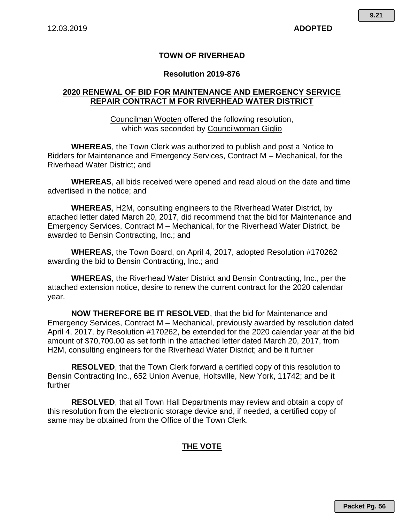## **TOWN OF RIVERHEAD**

### **Resolution 2019-876**

## **2020 RENEWAL OF BID FOR MAINTENANCE AND EMERGENCY SERVICE REPAIR CONTRACT M FOR RIVERHEAD WATER DISTRICT**

Councilman Wooten offered the following resolution, which was seconded by Councilwoman Giglio

**WHEREAS**, the Town Clerk was authorized to publish and post a Notice to Bidders for Maintenance and Emergency Services, Contract M – Mechanical, for the Riverhead Water District; and

**WHEREAS**, all bids received were opened and read aloud on the date and time advertised in the notice; and

**WHEREAS**, H2M, consulting engineers to the Riverhead Water District, by attached letter dated March 20, 2017, did recommend that the bid for Maintenance and Emergency Services, Contract M – Mechanical, for the Riverhead Water District, be awarded to Bensin Contracting, Inc.; and

**WHEREAS**, the Town Board, on April 4, 2017, adopted Resolution #170262 awarding the bid to Bensin Contracting, Inc.; and

**WHEREAS**, the Riverhead Water District and Bensin Contracting, Inc., per the attached extension notice, desire to renew the current contract for the 2020 calendar year.

**NOW THEREFORE BE IT RESOLVED**, that the bid for Maintenance and Emergency Services, Contract M – Mechanical, previously awarded by resolution dated April 4, 2017, by Resolution #170262, be extended for the 2020 calendar year at the bid amount of \$70,700.00 as set forth in the attached letter dated March 20, 2017, from H2M, consulting engineers for the Riverhead Water District; and be it further

**RESOLVED**, that the Town Clerk forward a certified copy of this resolution to Bensin Contracting Inc., 652 Union Avenue, Holtsville, New York, 11742; and be it further

**RESOLVED**, that all Town Hall Departments may review and obtain a copy of this resolution from the electronic storage device and, if needed, a certified copy of same may be obtained from the Office of the Town Clerk.

## **THE VOTE**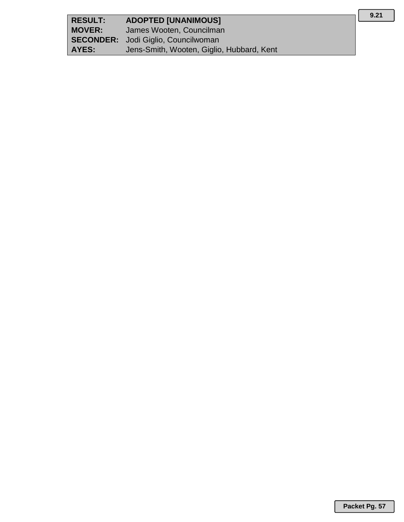| <b>RESULT:</b> | <b>ADOPTED [UNANIMOUS]</b>                 |
|----------------|--------------------------------------------|
| <b>MOVER:</b>  | James Wooten, Councilman                   |
|                | <b>SECONDER:</b> Jodi Giglio, Councilwoman |
| AYES:          | Jens-Smith, Wooten, Giglio, Hubbard, Kent  |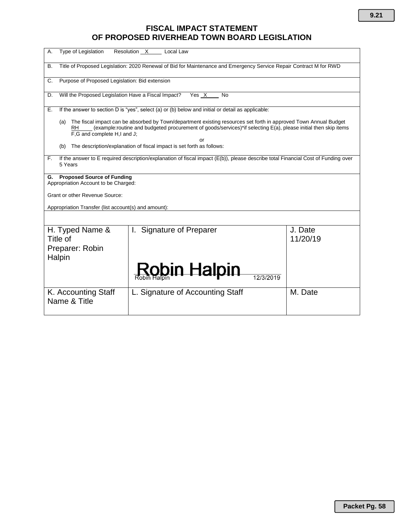# **FISCAL IMPACT STATEMENT OF PROPOSED RIVERHEAD TOWN BOARD LEGISLATION**

| <b>Type of Legislation</b><br>Resolution X<br>А.<br>Local Law                                                                                                                                                                                                                                                                                                        |                                    |                     |  |
|----------------------------------------------------------------------------------------------------------------------------------------------------------------------------------------------------------------------------------------------------------------------------------------------------------------------------------------------------------------------|------------------------------------|---------------------|--|
| Title of Proposed Legislation: 2020 Renewal of Bid for Maintenance and Emergency Service Repair Contract M for RWD<br>В.                                                                                                                                                                                                                                             |                                    |                     |  |
| Purpose of Proposed Legislation: Bid extension<br>C.                                                                                                                                                                                                                                                                                                                 |                                    |                     |  |
| Will the Proposed Legislation Have a Fiscal Impact?<br>Yes X<br>D.<br>No                                                                                                                                                                                                                                                                                             |                                    |                     |  |
| If the answer to section D is "yes", select (a) or (b) below and initial or detail as applicable:<br>Е.                                                                                                                                                                                                                                                              |                                    |                     |  |
| The fiscal impact can be absorbed by Town/department existing resources set forth in approved Town Annual Budget<br>(a)<br>(example:routine and budgeted procurement of goods/services)*if selecting E(a), please initial then skip items<br>RH<br>F,G and complete H,I and J;<br>or<br>The description/explanation of fiscal impact is set forth as follows:<br>(b) |                                    |                     |  |
| If the answer to E required description/explanation of fiscal impact (E(b)), please describe total Financial Cost of Funding over<br>F.                                                                                                                                                                                                                              |                                    |                     |  |
| 5 Years                                                                                                                                                                                                                                                                                                                                                              |                                    |                     |  |
| <b>Proposed Source of Funding</b><br>G.<br>Appropriation Account to be Charged:                                                                                                                                                                                                                                                                                      |                                    |                     |  |
| Grant or other Revenue Source:                                                                                                                                                                                                                                                                                                                                       |                                    |                     |  |
| Appropriation Transfer (list account(s) and amount):                                                                                                                                                                                                                                                                                                                 |                                    |                     |  |
|                                                                                                                                                                                                                                                                                                                                                                      |                                    |                     |  |
| H. Typed Name &<br>Title of<br>Preparer: Robin<br>Halpin                                                                                                                                                                                                                                                                                                             | <b>Signature of Preparer</b><br>I. | J. Date<br>11/20/19 |  |
|                                                                                                                                                                                                                                                                                                                                                                      | <u> Rob</u> in Halpin<br>12/3/2019 |                     |  |
| K. Accounting Staff<br>Name & Title                                                                                                                                                                                                                                                                                                                                  | L. Signature of Accounting Staff   | M. Date             |  |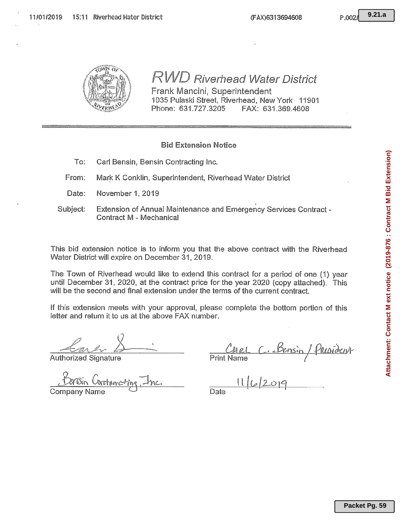



# RWD Riverhead Water District

Frank Mancini, Superintendent 1035 Pulaski Street, Riverhead, New York 11901 Phone: 631.727.3205 FAX: 631.369.4608

## **Bid Extension Notice**

- To: Carl Bensin, Bensin Contracting Inc.
- From: Mark K Conklin, Superintendent, Riverhead Water District
- Date: November 1, 2019
- Subject: Extension of Annual Maintenance and Emergency Services Contract -**Contract M - Mechanical**

This bid extension notice is to inform you that the above contract with the Riverhead Water District will expire on December 31, 2019.

The Town of Riverhead would like to extend this contract for a period of one (1) year until December 31, 2020, at the contract price for the year 2020 (copy attached). This will be the second and final extension under the terms of the current contract.

If this extension meets with your approval, please complete the bottom portion of this letter and return it to us at the above FAX number.

**Authorized Signature** 

**Company Name** 

<u>Densin</u> **Print Name** 

 $1162019$ Date